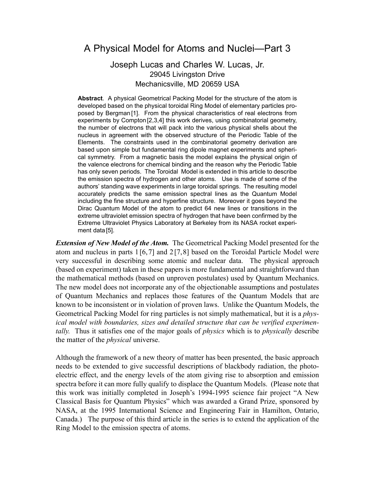## A Physical Model for Atoms and Nuclei—Part 3

## Joseph Lucas and Charles W. Lucas, Jr. 29045 Livingston Drive Mechanicsville, MD 20659 USA

**Abstract**. A physical Geometrical Packing Model for the structure of the atom is developed based on the physical toroidal Ring Model of elementary particles proposed by Bergman [1]. From the physical characteristics of real electrons from experiments by Compton [2,3,4] this work derives, using combinatorial geometry, the number of electrons that will pack into the various physical shells about the nucleus in agreement with the observed structure of the Periodic Table of the Elements. The constraints used in the combinatorial geometry derivation are based upon simple but fundamental ring dipole magnet experiments and spherical symmetry. From a magnetic basis the model explains the physical origin of the valence electrons for chemical binding and the reason why the Periodic Table has only seven periods. The Toroidal Model is extended in this article to describe the emission spectra of hydrogen and other atoms. Use is made of some of the authors' standing wave experiments in large toroidal springs. The resulting model accurately predicts the same emission spectral lines as the Quantum Model including the fine structure and hyperfine structure. Moreover it goes beyond the Dirac Quantum Model of the atom to predict 64 new lines or transitions in the extreme ultraviolet emission spectra of hydrogen that have been confirmed by the Extreme Ultraviolet Physics Laboratory at Berkeley from its NASA rocket experiment data [5].

*Extension of New Model of the Atom.* The Geometrical Packing Model presented for the atom and nucleus in parts 1 [6,7] and 2 [7,8] based on the Toroidal Particle Model were very successful in describing some atomic and nuclear data. The physical approach (based on experiment) taken in these papers is more fundamental and straightforward than the mathematical methods (based on unproven postulates) used by Quantum Mechanics. The new model does not incorporate any of the objectionable assumptions and postulates of Quantum Mechanics and replaces those features of the Quantum Models that are known to be inconsistent or in violation of proven laws. Unlike the Quantum Models, the Geometrical Packing Model for ring particles is not simply mathematical, but it is a *physical model with boundaries, sizes and detailed structure that can be verified experimentally.* Thus it satisfies one of the major goals of *physics* which is to *physically* describe the matter of the *physical* universe.

Although the framework of a new theory of matter has been presented, the basic approach needs to be extended to give successful descriptions of blackbody radiation, the photoelectric effect, and the energy levels of the atom giving rise to absorption and emission spectra before it can more fully qualify to displace the Quantum Models. (Please note that this work was initially completed in Joseph's 1994-1995 science fair project "A New Classical Basis for Quantum Physics" which was awarded a Grand Prize, sponsored by NASA, at the 1995 International Science and Engineering Fair in Hamilton, Ontario, Canada.) The purpose of this third article in the series is to extend the application of the Ring Model to the emission spectra of atoms.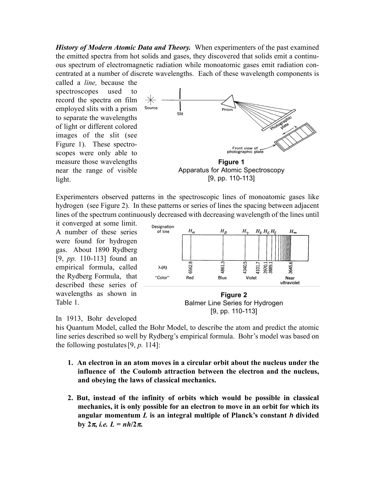*History of Modern Atomic Data and Theory.* When experimenters of the past examined the emitted spectra from hot solids and gases, they discovered that solids emit a continuous spectrum of electromagnetic radiation while monoatomic gases emit radiation concentrated at a number of discrete wavelengths. Each of these wavelength components is

called a *line,* because the spectroscopes used to record the spectra on film employed slits with a prism to separate the wavelengths of light or different colored images of the slit (see Figure 1). These spectroscopes were only able to measure those wavelengths near the range of visible light.



Experimenters observed patterns in the spectroscopic lines of monoatomic gases like hydrogen (see Figure 2). In these patterns or series of lines the spacing between adjacent lines of the spectrum continuously decreased with decreasing wavelength of the lines until

it converged at some limit. A number of these series were found for hydrogen gas. About 1890 Rydberg [9, *pp.* 110-113] found an empirical formula, called the Rydberg Formula, that described these series of wavelengths as shown in Table 1.





## In 1913, Bohr developed

his Quantum Model, called the Bohr Model, to describe the atom and predict the atomic line series described so well by Rydberg's empirical formula. Bohr's model was based on the following postulates [9, *p.* 114]:

- **1. An electron in an atom moves in a circular orbit about the nucleus under the influence of the Coulomb attraction between the electron and the nucleus, and obeying the laws of classical mechanics.**
- **2. But, instead of the infinity of orbits which would be possible in classical mechanics, it is only possible for an electron to move in an orbit for which its angular momentum** *L* **is an integral multiple of Planck's constant** *h* **divided by**  $2π$ , *i.e.*  $L = nh/2π$ .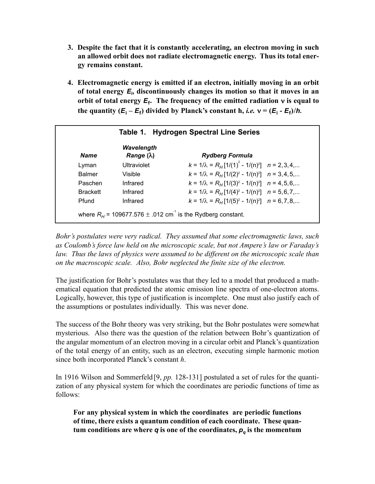- **3. Despite the fact that it is constantly accelerating, an electron moving in such an allowed orbit does not radiate electromagnetic energy. Thus its total energy remains constant.**
- **4. Electromagnetic energy is emitted if an electron, initially moving in an orbit of total energy** *E***<sup>i</sup> , discontinuously changes its motion so that it moves in an orbit of total energy**  $E_f$ **. The frequency of the emitted radiation**  $v$  **is equal to the quantity**  $(E_i - E_f)$  **divided by Planck's constant h,** *i.e.* $v = (E_i - E_f)/h$ **.**

| <b>Name</b>     | Wavelength<br>Range $(\lambda)$ | <b>Rydberg Formula</b>                                   |  |
|-----------------|---------------------------------|----------------------------------------------------------|--|
| Lyman           | Ultraviolet                     | $k = 1/\lambda = R_H[1/(1)^2 - 1/(n)^2]$ $n = 2,3,4,$    |  |
| <b>Balmer</b>   | <b>Visible</b>                  | $k = 1/\lambda = R_H[1/(2)^2 - 1/(n)^2]$ $n = 3, 4, 5,$  |  |
| Paschen         | Infrared                        | $k = 1/\lambda = R_H[1/(3)^2 - 1/(n)^2]$ $n = 4, 5, 6,$  |  |
| <b>Brackett</b> | Infrared                        | $k = 1/\lambda = R_H[1/(4)^2 - 1/(n)^2]$ $n = 5, 6, 7, $ |  |
| Pfund           | Infrared                        | $k = 1/\lambda = R_H[1/(5)^2 - 1/(n)^2]$ $n = 6, 7, 8,$  |  |

*Bohr's postulates were very radical. They assumed that some electromagnetic laws, such as Coulomb's force law held on the microscopic scale, but not Ampere's law or Faraday's law. Thus the laws of physics were assumed to be different on the microscopic scale than on the macroscopic scale. Also, Bohr neglected the finite size of the electron.*

The justification for Bohr's postulates was that they led to a model that produced a mathematical equation that predicted the atomic emission line spectra of one-electron atoms. Logically, however, this type of justification is incomplete. One must also justify each of the assumptions or postulates individually. This was never done.

The success of the Bohr theory was very striking, but the Bohr postulates were somewhat mysterious. Also there was the question of the relation between Bohr's quantization of the angular momentum of an electron moving in a circular orbit and Planck's quantization of the total energy of an entity, such as an electron, executing simple harmonic motion since both incorporated Planck's constant *h*.

In 1916 Wilson and Sommerfeld [9, *pp.* 128-131] postulated a set of rules for the quantization of any physical system for which the coordinates are periodic functions of time as follows:

**For any physical system in which the coordinates are periodic functions of time, there exists a quantum condition of each coordinate. These quantum conditions are where**  $q$  **is one of the coordinates,**  $p_q$  **is the momentum**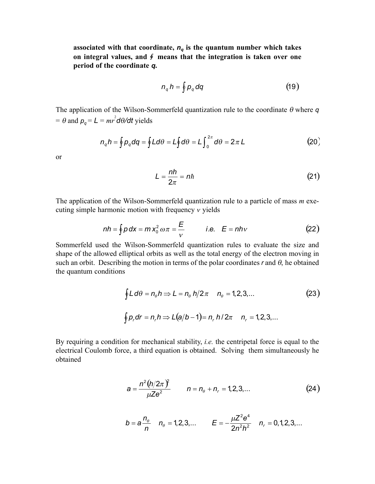associated with that coordinate,  $n_q$  is the quantum number which takes on integral values, and  $\oint$  means that the integration is taken over one **period of the coordinate** *q***.**

$$
n_q h = \oint p_q dq \tag{19}
$$

The application of the Wilson-Sommerfeld quantization rule to the coordinate θ where *q*  $= \theta$  and  $p_q = L = mr^2 d\theta/dt$  yields

$$
n_q h = \oint p_q dq = \oint L d\theta = L \oint d\theta = L \int_0^{2\pi} d\theta = 2\pi L
$$
 (20)

or

$$
L = \frac{nh}{2\pi} = nh \tag{21}
$$

The application of the Wilson-Sommerfeld quantization rule to a particle of mass *m* executing simple harmonic motion with frequency <sup>ν</sup> yields

$$
nh = \int p \, dx = m \, x_0^2 \, \omega \pi = \frac{E}{v} \qquad \text{i.e.} \quad E = nhv \tag{22}
$$

Sommerfeld used the Wilson-Sommerfeld quantization rules to evaluate the size and shape of the allowed elliptical orbits as well as the total energy of the electron moving in such an orbit. Describing the motion in terms of the polar coordinates  $r$  and  $\theta$ , he obtained the quantum conditions

$$
\int L d\theta = n_{\theta} h \Rightarrow L = n_{\theta} h/2\pi \quad n_{\theta} = 1, 2, 3, ... \tag{23}
$$
\n
$$
\int p_r dr = n_r h \Rightarrow L(a/b - 1) = n_r h/2\pi \quad n_r = 1, 2, 3, ...
$$

By requiring a condition for mechanical stability, *i.e.* the centripetal force is equal to the electrical Coulomb force, a third equation is obtained. Solving them simultaneously he obtained

$$
a = \frac{n^2 (h/2\pi)^2}{\mu Z e^2} \qquad n = n_\theta + n_r = 1, 2, 3, ... \qquad (24)
$$

$$
b = a \frac{n_{\theta}}{n} \quad n_{\theta} = 1, 2, 3, ... \qquad E = -\frac{\mu Z^2 e^4}{2n^2 h^2} \quad n_{r} = 0, 1, 2, 3, ...
$$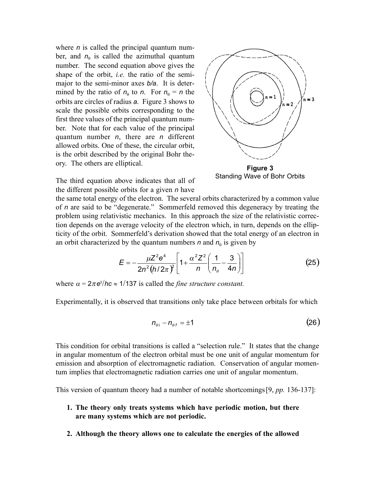where *n* is called the principal quantum number, and  $n_{\theta}$  is called the azimuthal quantum number. The second equation above gives the shape of the orbit, *i.e.* the ratio of the semimajor to the semi-minor axes *b/a*. It is determined by the ratio of  $n_\theta$  to *n*. For  $n_\theta = n$  the orbits are circles of radius *a*. Figure 3 shows to scale the possible orbits corresponding to the first three values of the principal quantum number. Note that for each value of the principal quantum number *n*, there are *n* different allowed orbits. One of these, the circular orbit, is the orbit described by the original Bohr theory. The others are elliptical.



**Figure 3** Standing Wave of Bohr Orbits

The third equation above indicates that all of the different possible orbits for a given *n* have

the same total energy of the electron. The several orbits characterized by a common value of *n* are said to be "degenerate." Sommerfeld removed this degeneracy by treating the problem using relativistic mechanics. In this approach the size of the relativistic correction depends on the average velocity of the electron which, in turn, depends on the ellipticity of the orbit. Sommerfeld's derivation showed that the total energy of an electron in an orbit characterized by the quantum numbers *n* and  $n_\theta$  is given by

$$
E = -\frac{\mu Z^2 e^4}{2n^2 (h/2\pi)^2} \left[ 1 + \frac{\alpha^2 Z^2}{n} \left( \frac{1}{n_\theta} - \frac{3}{4n} \right) \right]
$$
(25)

where  $\alpha = 2\pi e^2$ /hc  $\approx 1/137$  is called the *fine structure constant*.

Experimentally, it is observed that transitions only take place between orbitals for which

$$
n_{\theta i} - n_{\theta f} = \pm 1 \tag{26}
$$

This condition for orbital transitions is called a "selection rule." It states that the change in angular momentum of the electron orbital must be one unit of angular momentum for emission and absorption of electromagnetic radiation. Conservation of angular momentum implies that electromagnetic radiation carries one unit of angular momentum.

This version of quantum theory had a number of notable shortcomings [9, *pp.* 136-137]:

- **1. The theory only treats systems which have periodic motion, but there are many systems which are not periodic.**
- **2. Although the theory allows one to calculate the energies of the allowed**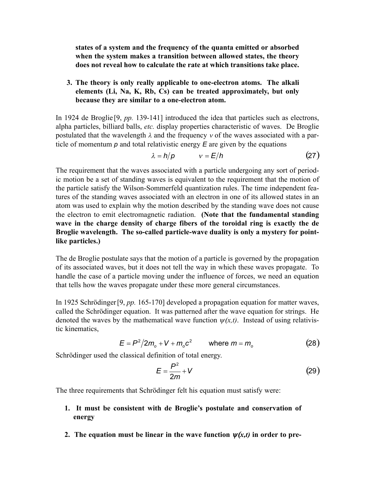**states of a system and the frequency of the quanta emitted or absorbed when the system makes a transition between allowed states, the theory does not reveal how to calculate the rate at which transitions take place.**

## **3. The theory is only really applicable to one-electron atoms. The alkali elements (Li, Na, K, Rb, Cs) can be treated approximately, but only because they are similar to a one-electron atom.**

In 1924 de Broglie [9, *pp.* 139-141] introduced the idea that particles such as electrons, alpha particles, billiard balls, *etc.* display properties characteristic of waves. De Broglie postulated that the wavelength  $\lambda$  and the frequency v of the waves associated with a particle of momentum *p* and total relativistic energy *E* are given by the equations

$$
\lambda = h/p \qquad \qquad v = E/h \tag{27}
$$

The requirement that the waves associated with a particle undergoing any sort of periodic motion be a set of standing waves is equivalent to the requirement that the motion of the particle satisfy the Wilson-Sommerfeld quantization rules. The time independent features of the standing waves associated with an electron in one of its allowed states in an atom was used to explain why the motion described by the standing wave does not cause the electron to emit electromagnetic radiation. **(Note that the fundamental standing wave in the charge density of charge fibers of the toroidal ring is exactly the de Broglie wavelength. The so-called particle-wave duality is only a mystery for pointlike particles.)**

The de Broglie postulate says that the motion of a particle is governed by the propagation of its associated waves, but it does not tell the way in which these waves propagate. To handle the case of a particle moving under the influence of forces, we need an equation that tells how the waves propagate under these more general circumstances.

In 1925 Schrödinger [9, *pp.* 165-170] developed a propagation equation for matter waves, called the Schrödinger equation. It was patterned after the wave equation for strings. He denoted the waves by the mathematical wave function  $\psi(x,t)$ . Instead of using relativistic kinematics,

$$
E = P^2 / 2m_o + V + m_o c^2 \qquad \text{where } m = m_o \tag{28}
$$

Schrödinger used the classical definition of total energy.

$$
E = \frac{P^2}{2m} + V \tag{29}
$$

The three requirements that Schrödinger felt his equation must satisfy were:

- **1. It must be consistent with de Broglie's postulate and conservation of energy**
- **2.** The equation must be linear in the wave function  $\psi(x,t)$  in order to pre-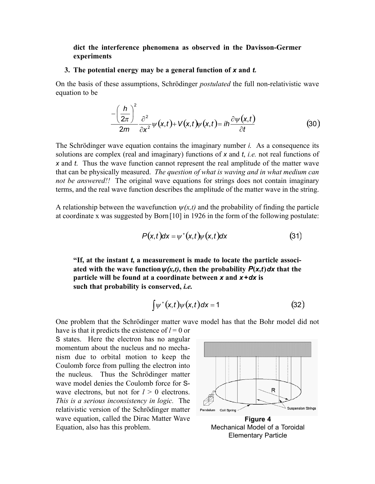### **dict the interference phenomena as observed in the Davisson-Germer experiments**

#### **3. The potential energy may be a general function of** *x* **and** *t.*

On the basis of these assumptions, Schrödinger *postulated* the full non-relativistic wave equation to be

$$
\frac{-\left(\frac{h}{2\pi}\right)^2}{2m}\frac{\partial^2}{\partial x^2}\psi(x,t)+V(x,t)\psi(x,t)=ih\frac{\partial\psi(x,t)}{\partial t}
$$
(30)

The Schrödinger wave equation contains the imaginary number *i*. As a consequence its solutions are complex (real and imaginary) functions of *x* and *t*, *i.e.* not real functions of *x* and *t*. Thus the wave function cannot represent the real amplitude of the matter wave that can be physically measured. *The question of what is waving and in what medium can not be answered!!* The original wave equations for strings does not contain imaginary terms, and the real wave function describes the amplitude of the matter wave in the string.

A relationship between the wavefunction  $\psi(x,t)$  and the probability of finding the particle at coordinate x was suggested by Born [10] in 1926 in the form of the following postulate:

$$
P(x,t)dx = \psi^*(x,t)\psi(x,t)dx
$$
\n(31)

**"If, at the instant** *t***, a measurement is made to locate the particle associated with the wave function** $\psi(x,t)$ , then the probability  $P(x,t) dx$  that the **particle will be found at a coordinate between** *x* **and** *x+dx* **is such that probability is conserved,** *i.e.*

$$
\int \psi^*(x,t)\psi(x,t)dx = 1
$$
 (32)

One problem that the Schrödinger matter wave model has that the Bohr model did not have is that it predicts the existence of  $l = 0$  or

S states. Here the electron has no angular momentum about the nucleus and no mechanism due to orbital motion to keep the Coulomb force from pulling the electron into the nucleus. Thus the Schrödinger matter wave model denies the Coulomb force for Swave electrons, but not for  $l > 0$  electrons. *This is a serious inconsistency in logic.* The relativistic version of the Schrödinger matter wave equation, called the Dirac Matter Wave Equation, also has this problem.



Mechanical Model of a Toroidal Elementary Particle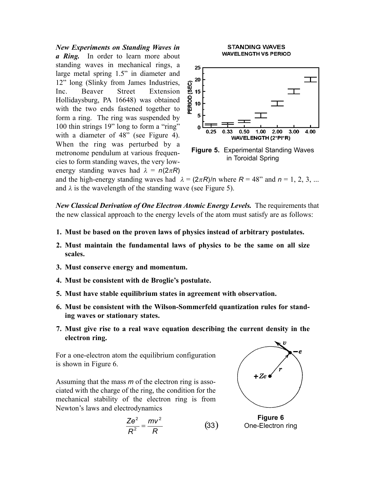*New Experiments on Standing Waves in a Ring.* In order to learn more about standing waves in mechanical rings, a large metal spring 1.5" in diameter and 12" long (Slinky from James Industries, Inc. Beaver Street Extension Hollidaysburg, PA 16648) was obtained with the two ends fastened together to form a ring. The ring was suspended by 100 thin strings 19" long to form a "ring" with a diameter of 48" (see Figure 4). When the ring was perturbed by a metronome pendulum at various frequencies to form standing waves, the very lowenergy standing waves had  $\lambda = n(2\pi R)$ 





in Toroidal Spring

and the high-energy standing waves had  $\lambda = (2\pi R)/n$  where  $R = 48$ " and  $n = 1, 2, 3, ...$ and  $\lambda$  is the wavelength of the standing wave (see Figure 5).

*New Classical Derivation of One Electron Atomic Energy Levels.* The requirements that the new classical approach to the energy levels of the atom must satisfy are as follows:

- **1. Must be based on the proven laws of physics instead of arbitrary postulates.**
- **2. Must maintain the fundamental laws of physics to be the same on all size scales.**
- **3. Must conserve energy and momentum.**
- **4. Must be consistent with de Broglie's postulate.**
- **5. Must have stable equilibrium states in agreement with observation.**
- **6. Must be consistent with the Wilson-Sommerfeld quantization rules for standing waves or stationary states.**
- **7. Must give rise to a real wave equation describing the current density in the electron ring.**

For a one-electron atom the equilibrium configuration is shown in Figure 6.

Assuming that the mass *m* of the electron ring is associated with the charge of the ring, the condition for the mechanical stability of the electron ring is from Newton's laws and electrodynamics

$$
\frac{Ze^2}{R^2} = \frac{mv^2}{R}
$$
 (3)



**Figure 6** 33) One-Electron ring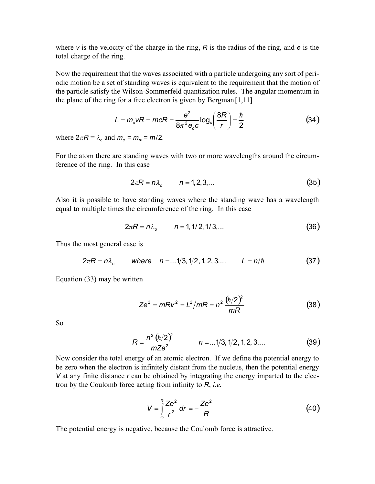where *v* is the velocity of the charge in the ring, *R* is the radius of the ring, and *e* is the total charge of the ring.

Now the requirement that the waves associated with a particle undergoing any sort of periodic motion be a set of standing waves is equivalent to the requirement that the motion of the particle satisfy the Wilson-Sommerfeld quantization rules. The angular momentum in the plane of the ring for a free electron is given by Bergman  $[1,11]$ 

$$
L = m_e vR = mcR = \frac{e^2}{8\pi^2 e_o c} \log_e \left(\frac{8R}{r}\right) = \frac{\hbar}{2}
$$
 (34)

where  $2\pi R = \lambda_0$  and  $m_e = m_m = m/2$ .

For the atom there are standing waves with two or more wavelengths around the circumference of the ring. In this case

$$
2\pi R = n\lambda_o \qquad n = 1, 2, 3, ... \qquad (35)
$$

Also it is possible to have standing waves where the standing wave has a wavelength equal to multiple times the circumference of the ring. In this case

$$
2\pi R = n\lambda_o \qquad n = 1, 1/2, 1/3, \dots \qquad (36)
$$

Thus the most general case is

$$
2\pi R = n\lambda_o
$$
 where  $n = ...1/3, 1/2, 1, 2, 3, ...$   $L = n/\hbar$  (37)

Equation (33) may be written

$$
Ze^{2} = mRv^{2} = L^{2}/mR = n^{2} \frac{(\hbar/2)^{2}}{mR}
$$
 (38)

So

$$
R = \frac{n^2 (\hbar/2)^2}{mZe^2} \qquad n = ...1/3, 1/2, 1, 2, 3, ... \qquad (39)
$$

Now consider the total energy of an atomic electron. If we define the potential energy to be zero when the electron is infinitely distant from the nucleus, then the potential energy *V* at any finite distance *r* can be obtained by integrating the energy imparted to the electron by the Coulomb force acting from infinity to *R*, *i.e.* 

$$
V = \int_{\infty}^{R} \frac{Ze^2}{r^2} dr = -\frac{Ze^2}{R}
$$
 (40)

The potential energy is negative, because the Coulomb force is attractive.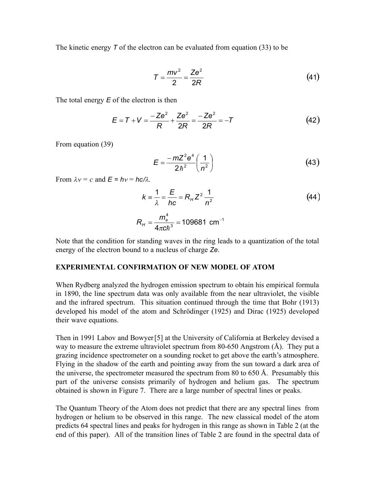The kinetic energy *T* of the electron can be evaluated from equation (33) to be

$$
T = \frac{mv^2}{2} = \frac{Ze^2}{2R}
$$
 (41)

The total energy *E* of the electron is then

$$
E = T + V = \frac{-Ze^{2}}{R} + \frac{Ze^{2}}{2R} = \frac{-Ze^{2}}{2R} = -T
$$
 (42)

From equation (39)

$$
E = \frac{-mZ^2e^4}{2\hbar^2} \left(\frac{1}{n^2}\right)
$$
 (43)

From  $\lambda v = c$  and  $E = hv = hc/\lambda$ .

$$
k = \frac{1}{\lambda} = \frac{E}{hc} = R_{H} Z^{2} \frac{1}{n^{2}}
$$
  
\n
$$
R_{H} = \frac{m_{e}^{4}}{4 \pi c \hbar^{3}} = 109681 \text{ cm}^{-1}
$$
 (44)

Note that the condition for standing waves in the ring leads to a quantization of the total energy of the electron bound to a nucleus of charge *Ze*.

### **EXPERIMENTAL CONFIRMATION OF NEW MODEL OF ATOM**

When Rydberg analyzed the hydrogen emission spectrum to obtain his empirical formula in 1890, the line spectrum data was only available from the near ultraviolet, the visible and the infrared spectrum. This situation continued through the time that Bohr (1913) developed his model of the atom and Schrödinger (1925) and Dirac (1925) developed their wave equations.

Then in 1991 Labov and Bowyer [5] at the University of California at Berkeley devised a way to measure the extreme ultraviolet spectrum from 80-650 Angstrom (Å). They put a grazing incidence spectrometer on a sounding rocket to get above the earth's atmosphere. Flying in the shadow of the earth and pointing away from the sun toward a dark area of the universe, the spectrometer measured the spectrum from 80 to 650 Å. Presumably this part of the universe consists primarily of hydrogen and helium gas. The spectrum obtained is shown in Figure 7. There are a large number of spectral lines or peaks.

The Quantum Theory of the Atom does not predict that there are any spectral lines from hydrogen or helium to be observed in this range. The new classical model of the atom predicts 64 spectral lines and peaks for hydrogen in this range as shown in Table 2 (at the end of this paper). All of the transition lines of Table 2 are found in the spectral data of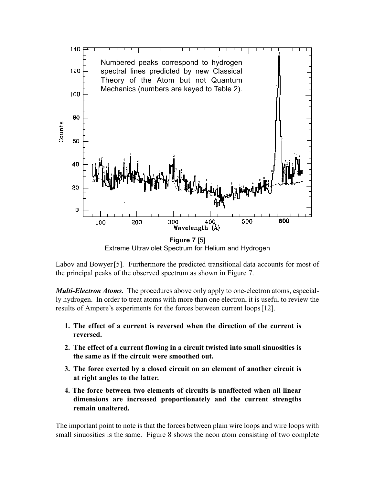

Extreme Ultraviolet Spectrum for Helium and Hydrogen

Labov and Bowyer [5]. Furthermore the predicted transitional data accounts for most of the principal peaks of the observed spectrum as shown in Figure 7.

*Multi-Electron Atoms.* The procedures above only apply to one-electron atoms, especially hydrogen. In order to treat atoms with more than one electron, it is useful to review the results of Ampere's experiments for the forces between current loops [12].

- **1. The effect of a current is reversed when the direction of the current is reversed.**
- **2. The effect of a current flowing in a circuit twisted into small sinuosities is the same as if the circuit were smoothed out.**
- **3. The force exerted by a closed circuit on an element of another circuit is at right angles to the latter.**
- **4. The force between two elements of circuits is unaffected when all linear dimensions are increased proportionately and the current strengths remain unaltered.**

The important point to note is that the forces between plain wire loops and wire loops with small sinuosities is the same. Figure 8 shows the neon atom consisting of two complete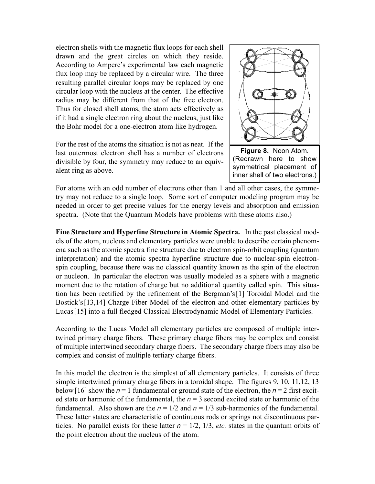electron shells with the magnetic flux loops for each shell drawn and the great circles on which they reside. According to Ampere's experimental law each magnetic flux loop may be replaced by a circular wire. The three resulting parallel circular loops may be replaced by one circular loop with the nucleus at the center. The effective radius may be different from that of the free electron. Thus for closed shell atoms, the atom acts effectively as if it had a single electron ring about the nucleus, just like the Bohr model for a one-electron atom like hydrogen.

For the rest of the atoms the situation is not as neat. If the last outermost electron shell has a number of electrons divisible by four, the symmetry may reduce to an equivalent ring as above.



(Redrawn here to show symmetrical placement of inner shell of two electrons.)

For atoms with an odd number of electrons other than 1 and all other cases, the symmetry may not reduce to a single loop. Some sort of computer modeling program may be needed in order to get precise values for the energy levels and absorption and emission spectra. (Note that the Quantum Models have problems with these atoms also.)

**Fine Structure and Hyperfine Structure in Atomic Spectra.** In the past classical models of the atom, nucleus and elementary particles were unable to describe certain phenomena such as the atomic spectra fine structure due to electron spin-orbit coupling (quantum interpretation) and the atomic spectra hyperfine structure due to nuclear-spin electronspin coupling, because there was no classical quantity known as the spin of the electron or nucleon. In particular the electron was usually modeled as a sphere with a magnetic moment due to the rotation of charge but no additional quantity called spin. This situation has been rectified by the refinement of the Bergman's [1] Toroidal Model and the Bostick's [13,14] Charge Fiber Model of the electron and other elementary particles by Lucas [15] into a full fledged Classical Electrodynamic Model of Elementary Particles.

According to the Lucas Model all elementary particles are composed of multiple intertwined primary charge fibers. These primary charge fibers may be complex and consist of multiple intertwined secondary charge fibers. The secondary charge fibers may also be complex and consist of multiple tertiary charge fibers.

In this model the electron is the simplest of all elementary particles. It consists of three simple intertwined primary charge fibers in a toroidal shape. The figures 9, 10, 11,12, 13 below [16] show the  $n = 1$  fundamental or ground state of the electron, the  $n = 2$  first excited state or harmonic of the fundamental, the  $n = 3$  second excited state or harmonic of the fundamental. Also shown are the  $n = 1/2$  and  $n = 1/3$  sub-harmonics of the fundamental. These latter states are characteristic of continuous rods or springs not discontinuous particles. No parallel exists for these latter  $n = 1/2$ ,  $1/3$ , *etc.* states in the quantum orbits of the point electron about the nucleus of the atom.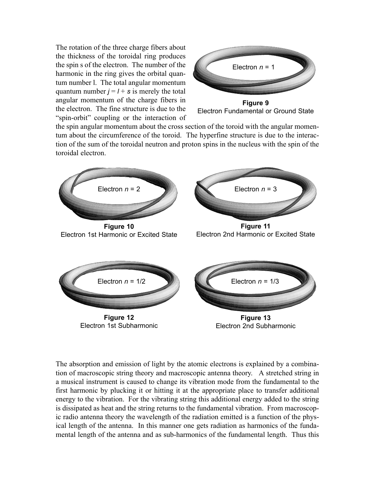The rotation of the three charge fibers about the thickness of the toroidal ring produces the spin s of the electron. The number of the harmonic in the ring gives the orbital quantum number l. The total angular momentum quantum number  $j = l + s$  is merely the total angular momentum of the charge fibers in the electron. The fine structure is due to the "spin-orbit" coupling or the interaction of



**Figure 9** Electron Fundamental or Ground State

the spin angular momentum about the cross section of the toroid with the angular momentum about the circumference of the toroid. The hyperfine structure is due to the interaction of the sum of the toroidal neutron and proton spins in the nucleus with the spin of the toroidal electron.



The absorption and emission of light by the atomic electrons is explained by a combination of macroscopic string theory and macroscopic antenna theory. A stretched string in a musical instrument is caused to change its vibration mode from the fundamental to the first harmonic by plucking it or hitting it at the appropriate place to transfer additional energy to the vibration. For the vibrating string this additional energy added to the string is dissipated as heat and the string returns to the fundamental vibration. From macroscopic radio antenna theory the wavelength of the radiation emitted is a function of the physical length of the antenna. In this manner one gets radiation as harmonics of the fundamental length of the antenna and as sub-harmonics of the fundamental length. Thus this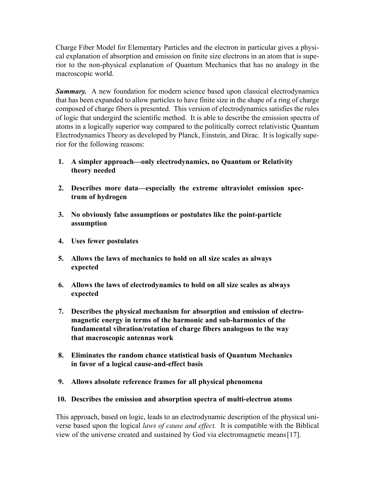Charge Fiber Model for Elementary Particles and the electron in particular gives a physical explanation of absorption and emission on finite size electrons in an atom that is superior to the non-physical explanation of Quantum Mechanics that has no analogy in the macroscopic world.

**Summary.** A new foundation for modern science based upon classical electrodynamics that has been expanded to allow particles to have finite size in the shape of a ring of charge composed of charge fibers is presented. This version of electrodynamics satisfies the rules of logic that undergird the scientific method. It is able to describe the emission spectra of atoms in a logically superior way compared to the politically correct relativistic Quantum Electrodynamics Theory as developed by Planck, Einstein, and Dirac. It is logically superior for the following reasons:

- **1. A simpler approach—only electrodynamics, no Quantum or Relativity theory needed**
- **2. Describes more data—especially the extreme ultraviolet emission spectrum of hydrogen**
- **3. No obviously false assumptions or postulates like the point-particle assumption**
- **4. Uses fewer postulates**
- **5. Allows the laws of mechanics to hold on all size scales as always expected**
- **6. Allows the laws of electrodynamics to hold on all size scales as always expected**
- **7. Describes the physical mechanism for absorption and emission of electromagnetic energy in terms of the harmonic and sub-harmonics of the fundamental vibration/rotation of charge fibers analogous to the way that macroscopic antennas work**
- **8. Eliminates the random chance statistical basis of Quantum Mechanics in favor of a logical cause-and-effect basis**
- **9. Allows absolute reference frames for all physical phenomena**
- **10. Describes the emission and absorption spectra of multi-electron atoms**

This approach, based on logic, leads to an electrodynamic description of the physical universe based upon the logical *laws of cause and effect.* It is compatible with the Biblical view of the universe created and sustained by God via electromagnetic means [17].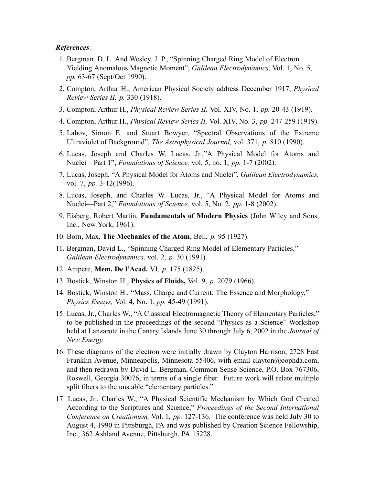#### *References*.

- 1. Bergman, D. L. And Wesley, J. P., "Spinning Charged Ring Model of Electron Yielding Anomalous Magnetic Moment", *Galilean Electrodynamics,* Vol. 1, No. 5, *pp.* 63-67 (Sept/Oct 1990).
- 2. Compton, Arthur H., American Physical Society address December 1917, *Physical Review Series II, p.* 330 (1918).
- 3. Compton, Arthur H., *Physical Review Series II,* Vol. XIV, No. 1, *pp.* 20-43 (1919).
- 4. Compton, Arthur H., *Physical Review Series II,* Vol. XIV, No. 3, *pp.* 247-259 (1919).
- 5. Labov, Simon E. and Stuart Bowyer, "Spectral Observations of the Extreme Ultraviolet of Background", *The Astrophysical Journal,* vol. 371, *p.* 810 (1990).
- 6. Lucas, Joseph and Charles W. Lucas, Jr.,"A Physical Model for Atoms and Nuclei—Part 1", *Foundations of Science,* vol. 5, no. 1, *pp.* 1-7 (2002).
- 7. Lucas, Joseph, "A Physical Model for Atoms and Nuclei", *Galilean Electrodynamics,* vol. 7, *pp.* 3-12(1996).
- 8. Lucas, Joseph, and Charles W. Lucas, Jr., "A Physical Model for Atoms and Nuclei—Part 2," *Foundations of Science,* vol. 5, No. 2, *pp*. 1-8 (2002).
- 9. Eisberg, Robert Martin, **Fundamentals of Modern Physics** (John Wiley and Sons, Inc., New York, 1961).
- 10. Born, Max, **The Mechanics of the Atom**, Bell, *p.* 95 (1927).
- 11. Bergman, David L., "Spinning Charged Ring Model of Elementary Particles," *Galilean Electrodynamics,* vol. 2, *p.* 30 (1991).
- 12. Ampere, **Mem. De l'Acad.** VI, *p.* 175 (1825).
- 13. Bostick, Winston H., **Physics of Fluids,** Vol. 9, *p.* 2079 (1966).
- 14. Bostick, Winston H., "Mass, Charge and Current: The Essence and Morphology," *Physics Essays,* Vol. 4, No. 1, *pp.* 45-49 (1991).
- 15. Lucas, Jr., Charles W., "A Classical Electromagnetic Theory of Elementary Particles," to be published in the proceedings of the second "Physics as a Science" Workshop held at Lanzarote in the Canary Islands June 30 through July 6, 2002 in the *Journal of New Energy.*
- 16. These diagrams of the electron were initially drawn by Clayton Harrison, 2728 East Franklin Avenue, Minneapolis, Minnesota 55406, with email clayton@oophda.com, and then redrawn by David L. Bergman, Common Sense Science, P.O. Box 767306, Roswell, Georgia 30076, in terms of a single fiber. Future work will relate multiple split fibers to the unstable "elementary particles."
- 17. Lucas, Jr., Charles W., "A Physical Scientific Mechanism by Which God Created According to the Scriptures and Science," *Proceedings of the Second International Conference on Creationism,* Vol. 1, *pp.* 127-136. The conference was held July 30 to August 4, 1990 in Pittsburgh, PA and was published by Creation Science Fellowship, Inc., 362 Ashland Avenue, Pittsburgh, PA 15228.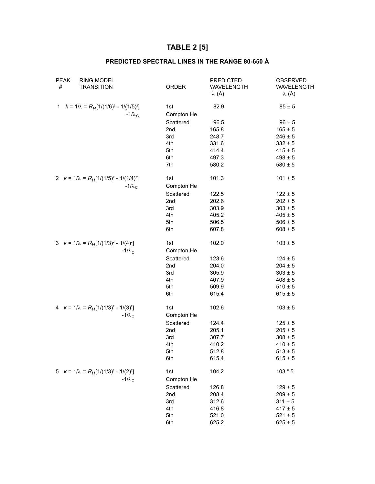# **TABLE 2 [5]**

## **PREDICTED SPECTRAL LINES IN THE RANGE 80-650 Å**

| <b>PEAK</b><br><b>RING MODEL</b><br>#<br><b>TRANSITION</b>       | ORDER             | <b>PREDICTED</b><br>WAVELENGTH<br>$\lambda$ (Å) | OBSERVED<br>WAVELENGTH<br>$\lambda$ (Å) |
|------------------------------------------------------------------|-------------------|-------------------------------------------------|-----------------------------------------|
| 1 $k = 1/\lambda = R_H[1/(1/6)^2 - 1/(1/5)^2]$<br>$-1/\lambda_c$ | 1st<br>Compton He | 82.9                                            | $85 \pm 5$                              |
|                                                                  | Scattered         | 96.5                                            | $96 \pm 5$                              |
|                                                                  | 2 <sub>nd</sub>   | 165.8                                           | $165 \pm 5$                             |
|                                                                  | 3rd               | 248.7                                           | $246\pm5$                               |
|                                                                  | 4th               | 331.6                                           | $332 \pm 5$                             |
|                                                                  | 5th               | 414.4                                           | $415 \pm 5$                             |
|                                                                  | 6th               | 497.3                                           | $498\pm5$                               |
|                                                                  | 7th               | 580.2                                           | $580\pm5$                               |
| 2 $k = 1/\lambda = R_H[1/(1/5)^2 - 1/(1/4)^2]$<br>$-1/\lambda_c$ | 1st<br>Compton He | 101.3                                           | $101 \pm 5$                             |
|                                                                  | Scattered         | 122.5                                           | $122 \pm 5$                             |
|                                                                  | 2nd               | 202.6                                           | $202\pm5$                               |
|                                                                  | 3rd               | 303.9                                           | $303\pm5$                               |
|                                                                  | 4th               | 405.2                                           | $405\pm5$                               |
|                                                                  | 5th               | 506.5                                           | $506\pm5$                               |
|                                                                  | 6th               | 607.8                                           | $608 \pm 5$                             |
| 3 $k = 1/\lambda = R_H[1/(1/3)^2 - 1/(4)^2]$<br>$-1/\lambda_c$   | 1st<br>Compton He | 102.0                                           | $103\pm5$                               |
|                                                                  | Scattered         | 123.6                                           | $124 \pm 5$                             |
|                                                                  | 2nd               | 204.0                                           | $204 \pm 5$                             |
|                                                                  | 3rd               | 305.9                                           | $303\pm5$                               |
|                                                                  | 4th               | 407.9                                           | $408 \pm 5$                             |
|                                                                  | 5th               | 509.9                                           | $510\pm5$                               |
|                                                                  | 6th               | 615.4                                           | $615 \pm 5$                             |
| 4 $k = 1/\lambda = R_H[1/(1/3)^2 - 1/(3)^2]$<br>$-1/\lambda_c$   | 1st<br>Compton He | 102.6                                           | $103\pm5$                               |
|                                                                  |                   |                                                 |                                         |
|                                                                  | Scattered         | 124.4                                           | $125 \pm 5$                             |
|                                                                  | 2nd<br>3rd        | 205.1<br>307.7                                  | $205\pm5$<br>$308 \pm 5$                |
|                                                                  | 4th               | 410.2                                           | $410 \pm 5$                             |
|                                                                  | 5th               | 512.8                                           | $513 \pm 5$                             |
|                                                                  | 6th               | 615.4                                           | $615 \pm 5$                             |
|                                                                  |                   |                                                 |                                         |
| 5 $k = 1/\lambda = R_H[1/(1/3)^2 - 1/(2)^2]$                     | 1st               | 104.2                                           | 103 " 5                                 |
| $-1/\lambda_c$                                                   | Compton He        |                                                 |                                         |
|                                                                  | Scattered         | 126.8                                           | $129 \pm 5$                             |
|                                                                  | 2nd               | 208.4                                           | $209\pm5$                               |
|                                                                  | 3rd               | 312.6                                           | $311 \pm 5$                             |
|                                                                  | 4th               | 416.8                                           | $417 \pm 5$                             |
|                                                                  | 5th               | 521.0                                           | $521 \pm 5$                             |
|                                                                  | 6th               | 625.2                                           | $625\pm5$                               |